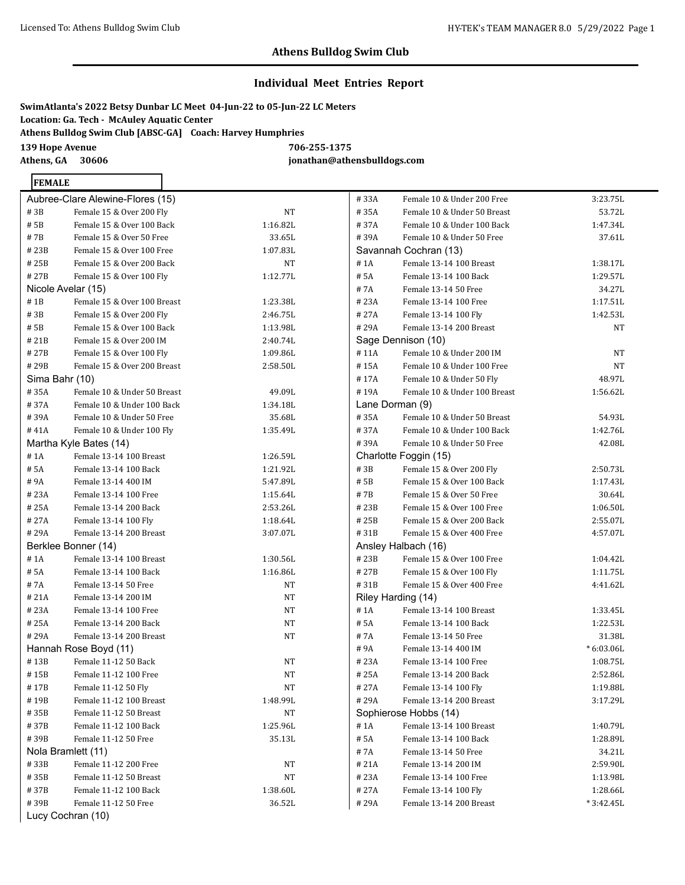$3:23.75L$ 53.72L 1:47.34L 37.61L

1:38.17L  $1:29.57L$ 34.27L  $1:17.51L$ 1:42.53L

### **Athens Bulldog Swim Club**

#### **Individual Meet Entries Report**

|                                                             | SwimAtlanta's 2022 Betsy Dunbar LC Meet  04-Jun-22 to 05-Jun-22 LC Meters |
|-------------------------------------------------------------|---------------------------------------------------------------------------|
| Location: Ga. Tech -  McAulev Aquatic Center                |                                                                           |
| Athens Bulldog Swim Club [ABSC-GA] Coach: Harvey Humphries_ |                                                                           |
| <b>139 Hope Avenue</b>                                      | 706-255-1375                                                              |
| Athens, GA<br>30606                                         | jonathan@athensbulldogs.com                                               |

#### **FEMALE**

|       | Aubree-Clare Alewine-Flores (15) |           | #33A    | Female 10 & Under 200 Free   | 3:23.75L    |
|-------|----------------------------------|-----------|---------|------------------------------|-------------|
| # 3B  | Female 15 & Over 200 Fly         | NT        | #35A    | Female 10 & Under 50 Breast  | 53.72L      |
| # 5B  | Female 15 & Over 100 Back        | 1:16.82L  | #37A    | Female 10 & Under 100 Back   | 1:47.34L    |
| # 7B  | Female 15 & Over 50 Free         | 33.65L    | #39A    | Female 10 & Under 50 Free    | 37.61L      |
| # 23B | Female 15 & Over 100 Free        | 1:07.83L  |         | Savannah Cochran (13)        |             |
| # 25B | Female 15 & Over 200 Back        | NT        | $\#$ 1A | Female 13-14 100 Breast      | 1:38.17L    |
| # 27B | Female 15 & Over 100 Fly         | 1:12.77L  | # 5A    | Female 13-14 100 Back        | 1:29.57L    |
|       | Nicole Avelar (15)               |           | #7A     | Female 13-14 50 Free         | 34.27L      |
| # 1B  | Female 15 & Over 100 Breast      | 1:23.38L  | #23A    | Female 13-14 100 Free        | 1:17.51L    |
| # 3B  | Female 15 & Over 200 Fly         | 2:46.75L  | #27A    | Female 13-14 100 Fly         | 1:42.53L    |
| # 5B  | Female 15 & Over 100 Back        | 1:13.98L  | #29A    | Female 13-14 200 Breast      | <b>NT</b>   |
| # 21B | Female 15 & Over 200 IM          | 2:40.74L  |         | Sage Dennison (10)           |             |
| # 27B | Female 15 & Over 100 Fly         | 1:09.86L  | #11A    | Female 10 & Under 200 IM     | NT          |
| # 29B | Female 15 & Over 200 Breast      | 2:58.50L  | #15A    | Female 10 & Under 100 Free   | <b>NT</b>   |
|       | Sima Bahr (10)                   |           | #17A    | Female 10 & Under 50 Fly     | 48.97L      |
| # 35A | Female 10 & Under 50 Breast      | 49.09L    | #19A    | Female 10 & Under 100 Breast | 1:56.62L    |
| # 37A | Female 10 & Under 100 Back       | 1:34.18L  |         | Lane Dorman (9)              |             |
| # 39A | Female 10 & Under 50 Free        | 35.68L    | #35A    | Female 10 & Under 50 Breast  | 54.93L      |
| # 41A | Female 10 & Under 100 Fly        | 1:35.49L  | #37A    | Female 10 & Under 100 Back   | 1:42.76L    |
|       | Martha Kyle Bates (14)           |           | #39A    | Female 10 & Under 50 Free    | 42.08L      |
| #1A   | Female 13-14 100 Breast          | 1:26.59L  |         | Charlotte Foggin (15)        |             |
| # 5A  | Female 13-14 100 Back            | 1:21.92L  | #3B     | Female 15 & Over 200 Fly     | 2:50.73L    |
| # 9A  | Female 13-14 400 IM              | 5:47.89L  | # 5B    | Female 15 & Over 100 Back    | 1:17.43L    |
| #23A  | Female 13-14 100 Free            | 1:15.64L  | #7B     | Female 15 & Over 50 Free     | 30.64L      |
| #25A  | Female 13-14 200 Back            | 2:53.26L  | #23B    | Female 15 & Over 100 Free    | 1:06.50L    |
| # 27A | Female 13-14 100 Fly             | 1:18.64L  | # 25B   | Female 15 & Over 200 Back    | 2:55.07L    |
| # 29A | Female 13-14 200 Breast          | 3:07.07L  | #31B    | Female 15 & Over 400 Free    | 4:57.07L    |
|       | Berklee Bonner (14)              |           |         | Ansley Halbach (16)          |             |
| # 1A  | Female 13-14 100 Breast          | 1:30.56L  | #23B    | Female 15 & Over 100 Free    | 1:04.42L    |
| # 5A  | Female 13-14 100 Back            | 1:16.86L  | #27B    | Female 15 & Over 100 Fly     | 1:11.75L    |
| # 7A  | Female 13-14 50 Free             | NT        | #31B    | Female 15 & Over 400 Free    | 4:41.62L    |
| # 21A | Female 13-14 200 IM              | NT        |         | Riley Harding (14)           |             |
| # 23A | Female 13-14 100 Free            | NT        | # 1A    | Female 13-14 100 Breast      | 1:33.45L    |
| # 25A | Female 13-14 200 Back            | NT        | # 5A    | Female 13-14 100 Back        | 1:22.53L    |
| #29A  | Female 13-14 200 Breast          | NT        | # 7A    | Female 13-14 50 Free         | 31.38L      |
|       | Hannah Rose Boyd (11)            |           | #9A     | Female 13-14 400 IM          | $*6:03.06L$ |
| #13B  | Female 11-12 50 Back             | NT        | #23A    | Female 13-14 100 Free        | 1:08.75L    |
| # 15B | Female 11-12 100 Free            | NT        | #25A    | Female 13-14 200 Back        | 2:52.86L    |
| #17B  | Female 11-12 50 Fly              | NT        | #27A    | Female 13-14 100 Fly         | 1:19.88L    |
| #19B  | Female 11-12 100 Breast          | 1:48.99L  | #29A    | Female 13-14 200 Breast      | 3:17.29L    |
| #35B  | Female 11-12 50 Breast           | <b>NT</b> |         | Sophierose Hobbs (14)        |             |
| #37B  | Female 11-12 100 Back            | 1:25.96L  | # 1A    | Female 13-14 100 Breast      | 1:40.79L    |
| # 39B | Female 11-12 50 Free             | 35.13L    | # 5A    | Female 13-14 100 Back        | 1:28.89L    |
|       | Nola Bramlett (11)               |           | #7A     | Female 13-14 50 Free         | 34.21L      |
| #33B  | Female 11-12 200 Free            | NT        | # 21A   | Female 13-14 200 IM          | 2:59.90L    |
| # 35B | Female 11-12 50 Breast           | NT        | #23A    | Female 13-14 100 Free        | 1:13.98L    |
| #37B  | Female 11-12 100 Back            | 1:38.60L  | #27A    | Female 13-14 100 Fly         | 1:28.66L    |
| # 39B | Female 11-12 50 Free             | 36.52L    | #29A    | Female 13-14 200 Breast      | $*3:42.45L$ |
|       |                                  |           |         |                              |             |

Lucy Cochran (10)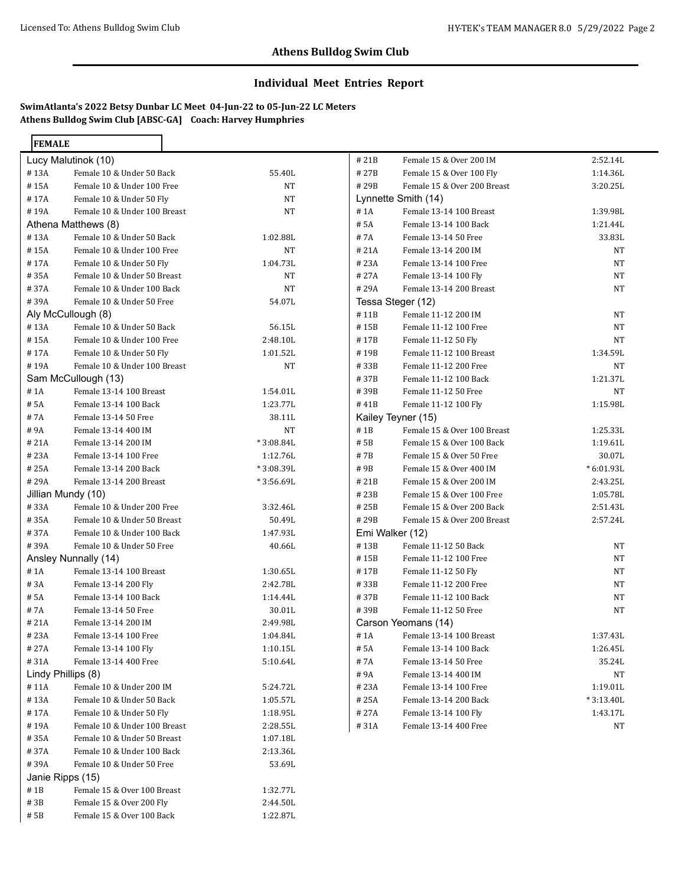#### **Individual Meet Entries Report**

| <b>FEMALE</b> |                                                           |                      |              |                                                |                         |
|---------------|-----------------------------------------------------------|----------------------|--------------|------------------------------------------------|-------------------------|
|               | Lucy Malutinok (10)                                       |                      | #21B         | Female 15 & Over 200 IM                        | 2:52.14L                |
| #13A          | Female 10 & Under 50 Back                                 | 55.40L               | #27B         | Female 15 & Over 100 Fly                       | 1:14.36L                |
| #15A          | Female 10 & Under 100 Free                                | NT                   | #29B         | Female 15 & Over 200 Breast                    | 3:20.25L                |
| #17A          | Female 10 & Under 50 Fly                                  | NT                   |              | Lynnette Smith (14)                            |                         |
| #19A          | Female 10 & Under 100 Breast                              | NT                   | # 1A         | Female 13-14 100 Breast                        | 1:39.98L                |
|               | Athena Matthews (8)                                       |                      | # 5A         | Female 13-14 100 Back                          | 1:21.44L                |
| #13A          | Female 10 & Under 50 Back                                 | 1:02.88L             | #7A          | Female 13-14 50 Free                           | 33.83L                  |
| #15A          | Female 10 & Under 100 Free                                | NT                   | #21A         | Female 13-14 200 IM                            | NT                      |
| #17A          | Female 10 & Under 50 Fly                                  | 1:04.73L             | #23A         | Female 13-14 100 Free                          | NT                      |
| #35A          | Female 10 & Under 50 Breast                               | NT                   | #27A         | Female 13-14 100 Fly                           | NT                      |
| #37A          | Female 10 & Under 100 Back                                | NT                   | #29A         | Female 13-14 200 Breast                        | NT                      |
| #39A          | Female 10 & Under 50 Free                                 | 54.07L               |              | Tessa Steger (12)                              |                         |
|               | Aly McCullough (8)                                        |                      | #11B         | Female 11-12 200 IM                            | NT                      |
| #13A          | Female 10 & Under 50 Back                                 | 56.15L               | #15B         | Female 11-12 100 Free                          | NT                      |
| #15A          | Female 10 & Under 100 Free                                | 2:48.10L             | #17B         | Female 11-12 50 Fly                            | NT                      |
| #17A          | Female 10 & Under 50 Fly                                  | 1:01.52L             | #19B         | Female 11-12 100 Breast                        | 1:34.59L                |
| #19A          | Female 10 & Under 100 Breast                              | NT                   | #33B         | Female 11-12 200 Free                          | NT                      |
|               | Sam McCullough (13)                                       |                      | #37B         | Female 11-12 100 Back                          | 1:21.37L                |
| #1A           | Female 13-14 100 Breast                                   | 1:54.01L             | #39B         | Female 11-12 50 Free                           | NT                      |
| # 5A          | Female 13-14 100 Back                                     | 1:23.77L             | #41B         | Female 11-12 100 Fly                           | 1:15.98L                |
| #7A           | Female 13-14 50 Free                                      | 38.11L               |              | Kailey Teyner (15)                             |                         |
| #9A           | Female 13-14 400 IM                                       | <b>NT</b>            | #1B          | Female 15 & Over 100 Breast                    | 1:25.33L                |
| #21A          | Female 13-14 200 IM                                       | * 3:08.84L           | # 5B         | Female 15 & Over 100 Back                      | 1:19.61L                |
| #23A          | Female 13-14 100 Free                                     | 1:12.76L             | #7B          | Female 15 & Over 50 Free                       | 30.07L                  |
| #25A          | Female 13-14 200 Back                                     | *3:08.39L            | #9B          | Female 15 & Over 400 IM                        | $*6:01.93L$             |
| #29A          | Female 13-14 200 Breast                                   | $*3:56.69L$          | #21B         | Female 15 & Over 200 IM                        | 2:43.25L                |
|               | Jillian Mundy (10)                                        |                      | #23B         | Female 15 & Over 100 Free                      | 1:05.78L                |
| #33A          | Female 10 & Under 200 Free                                | 3:32.46L             | #25B         | Female 15 & Over 200 Back                      | 2:51.43L                |
| #35A          | Female 10 & Under 50 Breast                               | 50.49L               | #29B         | Female 15 & Over 200 Breast                    | 2:57.24L                |
| #37A          | Female 10 & Under 100 Back                                | 1:47.93L             |              | Emi Walker (12)                                |                         |
| #39A          | Female 10 & Under 50 Free                                 | 40.66L               | #13B         | Female 11-12 50 Back                           | NT                      |
|               | Ansley Nunnally (14)                                      |                      | #15B         | Female 11-12 100 Free                          | NT                      |
| # 1A          | Female 13-14 100 Breast                                   | 1:30.65L             | #17B         | Female 11-12 50 Fly                            | NT                      |
| #3A           | Female 13-14 200 Fly                                      | 2:42.78L             | #33B         | Female 11-12 200 Free                          | NT                      |
| # 5A          | Female 13-14 100 Back                                     | 1:14.44L             | #37B         | Female 11-12 100 Back                          | NT                      |
| # 7A          | Female 13-14 50 Free                                      | 30.01L               | #39B         | Female 11-12 50 Free                           | NT                      |
| #21A          | Female 13-14 200 IM                                       | 2:49.98L             |              | Carson Yeomans (14)                            |                         |
| #23A          | Female 13-14 100 Free                                     | 1:04.84L             | # 1A         | Female 13-14 100 Breast                        | 1:37.43L                |
| # 27A         | Female 13-14 100 Fly                                      | 1:10.15L             | # 5A         | Female 13-14 100 Back                          | 1:26.45L                |
| #31A          | Female 13-14 400 Free                                     | 5:10.64L             | # 7A         | Female 13-14 50 Free                           | 35.24L                  |
|               | Lindy Phillips (8)                                        |                      | #9A          | Female 13-14 400 IM                            | NΤ                      |
| #11A          | Female 10 & Under 200 IM                                  | 5:24.72L             | #23A         | Female 13-14 100 Free<br>Female 13-14 200 Back | 1:19.01L<br>$*3:13.40L$ |
| #13A<br>#17A  | Female 10 & Under 50 Back                                 | 1:05.57L             | #25A<br>#27A | Female 13-14 100 Fly                           |                         |
|               | Female 10 & Under 50 Fly<br>Female 10 & Under 100 Breast  | 1:18.95L             |              |                                                | 1:43.17L                |
| #19A          |                                                           | 2:28.55L             | #31A         | Female 13-14 400 Free                          | NT                      |
| #35A<br>#37A  | Female 10 & Under 50 Breast<br>Female 10 & Under 100 Back | 1:07.18L<br>2:13.36L |              |                                                |                         |
| #39A          | Female 10 & Under 50 Free                                 | 53.69L               |              |                                                |                         |
|               | Janie Ripps (15)                                          |                      |              |                                                |                         |
| #1B           | Female 15 & Over 100 Breast                               | 1:32.77L             |              |                                                |                         |
| #3B           | Female 15 & Over 200 Fly                                  | 2:44.50L             |              |                                                |                         |
| # 5B          | Female 15 & Over 100 Back                                 | 1:22.87L             |              |                                                |                         |
|               |                                                           |                      |              |                                                |                         |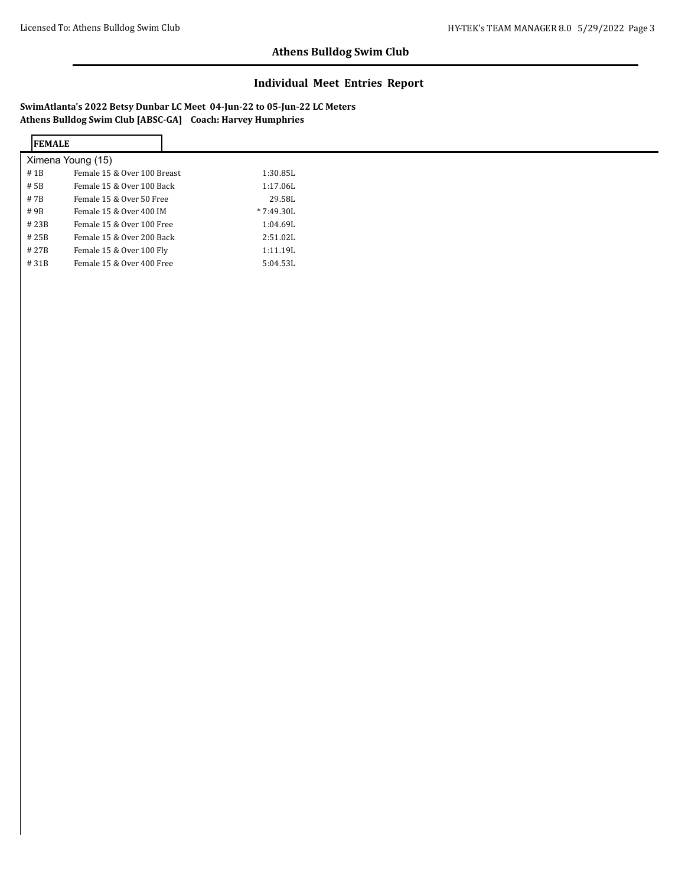### **Individual Meet Entries Report**

| <b>IFEMALE</b>    |                             |
|-------------------|-----------------------------|
| Ximena Young (15) |                             |
| #1B               | Female 15 & Over 100 Breast |
| # 5B              | Female 15 & Over 100 Back   |
| # 7B              | Female 15 & Over 50 Free    |
| #9B               | Female 15 & Over 400 IM     |
| #23B              | Female 15 & Over 100 Free   |
| #25B              | Female 15 & Over 200 Back   |
| # 27B             | Female 15 & Over 100 Fly    |
| #31B              | Female 15 & Over 400 Free   |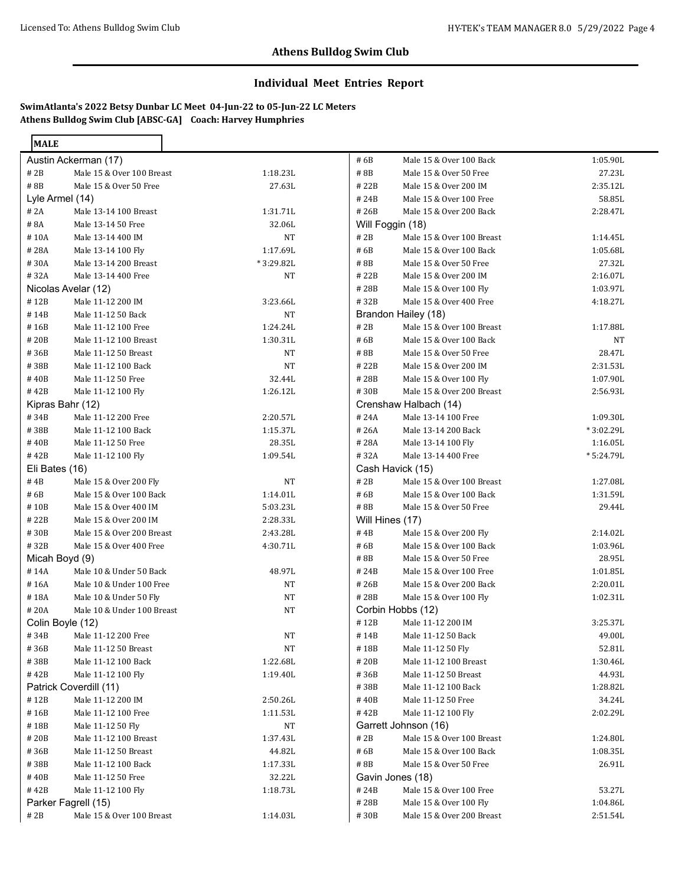**MALE** 

## **Athens Bulldog Swim Club**

### **Individual Meet Entries Report**

|                  | Austin Ackerman (17)       |           | # 6B             | Male 15 & Over 100 Back   | 1:05.90L   |
|------------------|----------------------------|-----------|------------------|---------------------------|------------|
| # 2B             | Male 15 & Over 100 Breast  | 1:18.23L  | #8B              | Male 15 & Over 50 Free    | 27.23L     |
| #8B              | Male 15 & Over 50 Free     | 27.63L    | #22B             | Male 15 & Over 200 IM     | 2:35.12L   |
| Lyle Armel (14)  |                            |           | #24B             | Male 15 & Over 100 Free   | 58.85L     |
| # 2A             | Male 13-14 100 Breast      | 1:31.71L  | #26B             | Male 15 & Over 200 Back   | 2:28.47L   |
| #8A              | Male 13-14 50 Free         | 32.06L    | Will Foggin (18) |                           |            |
| #10A             | Male 13-14 400 IM          | NT        | # 2B             | Male 15 & Over 100 Breast | 1:14.45L   |
| #28A             | Male 13-14 100 Fly         | 1:17.69L  | # 6B             | Male 15 & Over 100 Back   | 1:05.68L   |
| #30A             | Male 13-14 200 Breast      | *3:29.82L | #8B              | Male 15 & Over 50 Free    | 27.32L     |
| #32A             | Male 13-14 400 Free        | <b>NT</b> | #22B             | Male 15 & Over 200 IM     | 2:16.07L   |
|                  | Nicolas Avelar (12)        |           | #28B             | Male 15 & Over 100 Fly    | 1:03.97L   |
| #12B             | Male 11-12 200 IM          | 3:23.66L  | #32B             | Male 15 & Over 400 Free   | 4:18.27L   |
| #14B             | Male 11-12 50 Back         | NT        |                  | Brandon Hailey (18)       |            |
| #16B             | Male 11-12 100 Free        | 1:24.24L  | #2B              | Male 15 & Over 100 Breast | 1:17.88L   |
| #20B             | Male 11-12 100 Breast      | 1:30.31L  | #6B              | Male 15 & Over 100 Back   | NT         |
| #36B             | Male 11-12 50 Breast       | NT        | #8B              | Male 15 & Over 50 Free    | 28.47L     |
| #38B             | Male 11-12 100 Back        | <b>NT</b> | #22B             | Male 15 & Over 200 IM     | 2:31.53L   |
| #40B             | Male 11-12 50 Free         | 32.44L    | #28B             | Male 15 & Over 100 Fly    | 1:07.90L   |
| #42B             | Male 11-12 100 Fly         | 1:26.12L  | #30B             | Male 15 & Over 200 Breast | 2:56.93L   |
| Kipras Bahr (12) |                            |           |                  | Crenshaw Halbach (14)     |            |
| #34B             | Male 11-12 200 Free        | 2:20.57L  | #24A             | Male 13-14 100 Free       | 1:09.30L   |
| #38B             | Male 11-12 100 Back        | 1:15.37L  | #26A             | Male 13-14 200 Back       | *3:02.29L  |
| #40B             | Male 11-12 50 Free         | 28.35L    | #28A             | Male 13-14 100 Fly        | 1:16.05L   |
| #42B             | Male 11-12 100 Fly         | 1:09.54L  | #32A             | Male 13-14 400 Free       | * 5:24.79L |
| Eli Bates (16)   |                            |           |                  | Cash Havick (15)          |            |
| #4B              | Male 15 & Over 200 Fly     | <b>NT</b> | # 2B             | Male 15 & Over 100 Breast | 1:27.08L   |
| #6B              | Male 15 & Over 100 Back    | 1:14.01L  | # 6B             | Male 15 & Over 100 Back   | 1:31.59L   |
| #10B             | Male 15 & Over 400 IM      | 5:03.23L  | #8B              | Male 15 & Over 50 Free    | 29.44L     |
| #22B             | Male 15 & Over 200 IM      | 2:28.33L  | Will Hines (17)  |                           |            |
| #30B             | Male 15 & Over 200 Breast  | 2:43.28L  | #4B              | Male 15 & Over 200 Fly    | 2:14.02L   |
| #32B             | Male 15 & Over 400 Free    | 4:30.71L  | # 6B             | Male 15 & Over 100 Back   | 1:03.96L   |
| Micah Boyd (9)   |                            |           | #8B              | Male 15 & Over 50 Free    | 28.95L     |
| #14A             | Male 10 & Under 50 Back    | 48.97L    | #24B             | Male 15 & Over 100 Free   | 1:01.85L   |
| #16A             | Male 10 & Under 100 Free   | NT        | #26B             | Male 15 & Over 200 Back   | 2:20.01L   |
| #18A             | Male 10 & Under 50 Fly     | <b>NT</b> | #28B             | Male 15 & Over 100 Fly    | 1:02.31L   |
| #20A             | Male 10 & Under 100 Breast | <b>NT</b> |                  | Corbin Hobbs (12)         |            |
| Colin Boyle (12) |                            |           | #12B             | Male 11-12 200 IM         | 3:25.37L   |
| #34B             | Male 11-12 200 Free        | NT        | #14B             | Male 11-12 50 Back        | 49.00L     |
| #36B             | Male 11-12 50 Breast       | NT        | #18B             | Male 11-12 50 Fly         | 52.81L     |
| #38B             | Male 11-12 100 Back        | 1:22.68L  | #20B             | Male 11-12 100 Breast     | 1:30.46L   |
| #42B             | Male 11-12 100 Fly         | 1:19.40L  | #36B             | Male 11-12 50 Breast      | 44.93L     |
|                  | Patrick Coverdill (11)     |           | #38B             | Male 11-12 100 Back       | 1:28.82L   |
| #12B             | Male 11-12 200 IM          | 2:50.26L  | #40B             | Male 11-12 50 Free        | 34.24L     |
| #16B             | Male 11-12 100 Free        | 1:11.53L  | #42B             | Male 11-12 100 Fly        | 2:02.29L   |
| #18B             | Male 11-12 50 Fly          | <b>NT</b> |                  | Garrett Johnson (16)      |            |
| #20B             | Male 11-12 100 Breast      | 1:37.43L  | # 2B             | Male 15 & Over 100 Breast | 1:24.80L   |
| #36B             | Male 11-12 50 Breast       | 44.82L    | # 6B             | Male 15 & Over 100 Back   | 1:08.35L   |
| #38B             | Male 11-12 100 Back        | 1:17.33L  | #8B              | Male 15 & Over 50 Free    | 26.91L     |
| #40B             | Male 11-12 50 Free         | 32.22L    |                  | Gavin Jones (18)          |            |
| #42B             | Male 11-12 100 Fly         | 1:18.73L  | #24B             | Male 15 & Over 100 Free   | 53.27L     |
|                  | Parker Fagrell (15)        |           | #28B             | Male 15 & Over 100 Fly    | 1:04.86L   |
| # 2B             | Male 15 & Over 100 Breast  | 1:14.03L  | #30B             | Male 15 & Over 200 Breast | 2:51.54L   |
|                  |                            |           |                  |                           |            |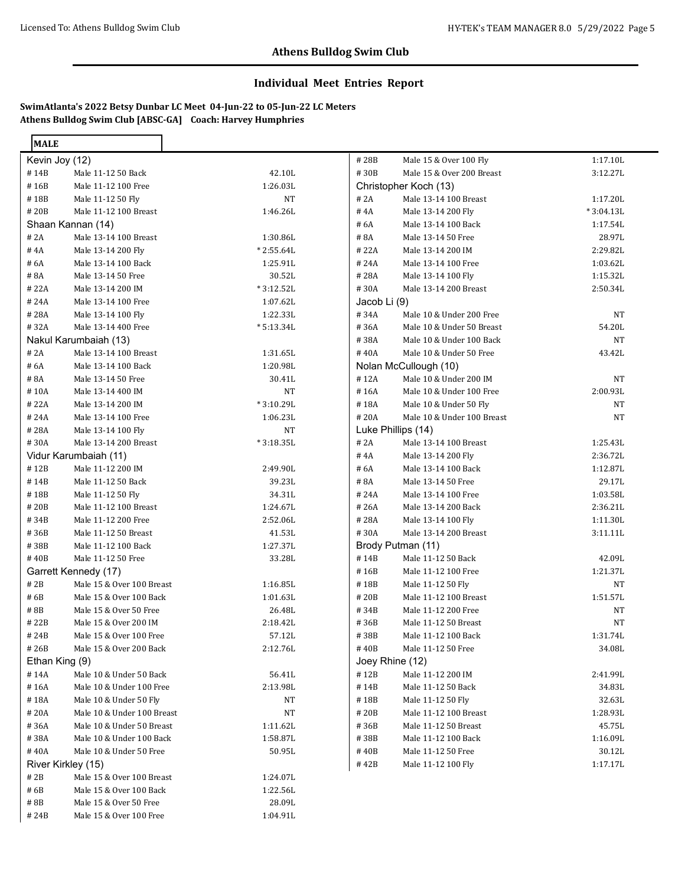#### **Individual Meet Entries Report**

**SwimAtlanta's 2022 Betsy Dunbar LC Meet 04-Jun-22 to 05-Jun-22 LC Meters Athens Bulldog Swim Club [ABSC-GA] Coach: Harvey Humphries**

| <b>MALE</b>    |                            |             |              |                            |             |
|----------------|----------------------------|-------------|--------------|----------------------------|-------------|
| Kevin Joy (12) |                            |             | #28B         | Male 15 & Over 100 Fly     | 1:17.10L    |
| #14B           | Male 11-12 50 Back         | 42.10L      | #30B         | Male 15 & Over 200 Breast  | 3:12.27L    |
| #16B           | Male 11-12 100 Free        | 1:26.03L    |              | Christopher Koch (13)      |             |
| #18B           | Male 11-12 50 Fly          | <b>NT</b>   | # 2A         | Male 13-14 100 Breast      | 1:17.20L    |
| #20B           | Male 11-12 100 Breast      | 1:46.26L    | #4A          | Male 13-14 200 Fly         | $*3:04.13L$ |
|                | Shaan Kannan (14)          |             | # 6A         | Male 13-14 100 Back        | 1:17.54L    |
| # 2A           | Male 13-14 100 Breast      | 1:30.86L    | #8A          | Male 13-14 50 Free         | 28.97L      |
| #4A            | Male 13-14 200 Fly         | $*2:55.64L$ | #22A         | Male 13-14 200 IM          | 2:29.82L    |
| # 6A           | Male 13-14 100 Back        | 1:25.91L    | #24A         | Male 13-14 100 Free        | 1:03.62L    |
| #8A            | Male 13-14 50 Free         | 30.52L      | #28A         | Male 13-14 100 Fly         | 1:15.32L    |
| #22A           | Male 13-14 200 IM          | $*3:12.52L$ | #30A         | Male 13-14 200 Breast      | 2:50.34L    |
| #24A           | Male 13-14 100 Free        | 1:07.62L    | Jacob Li (9) |                            |             |
| #28A           | Male 13-14 100 Fly         | 1:22.33L    | #34A         | Male 10 & Under 200 Free   | NT          |
| #32A           | Male 13-14 400 Free        | $*5:13.34L$ | #36A         | Male 10 & Under 50 Breast  | 54.20L      |
|                | Nakul Karumbaiah (13)      |             | #38A         | Male 10 & Under 100 Back   | NT          |
| # 2A           | Male 13-14 100 Breast      | 1:31.65L    | #40A         | Male 10 & Under 50 Free    | 43.42L      |
| # 6A           | Male 13-14 100 Back        | 1:20.98L    |              | Nolan McCullough (10)      |             |
| #8A            | Male 13-14 50 Free         | 30.41L      | #12A         | Male 10 & Under 200 IM     | NT          |
| #10A           | Male 13-14 400 IM          | <b>NT</b>   | #16A         | Male 10 & Under 100 Free   | 2:00.93L    |
| #22A           | Male 13-14 200 IM          | $*3:10.29L$ | #18A         | Male 10 & Under 50 Fly     | NT          |
| #24A           | Male 13-14 100 Free        | 1:06.23L    | #20A         | Male 10 & Under 100 Breast | <b>NT</b>   |
| #28A           | Male 13-14 100 Fly         | <b>NT</b>   |              | Luke Phillips (14)         |             |
| #30A           | Male 13-14 200 Breast      | $*3:18.35L$ | # 2A         | Male 13-14 100 Breast      | 1:25.43L    |
|                | Vidur Karumbaiah (11)      |             | #4A          | Male 13-14 200 Fly         | 2:36.72L    |
| #12B           | Male 11-12 200 IM          | 2:49.90L    | # 6A         | Male 13-14 100 Back        | 1:12.87L    |
| #14B           | Male 11-12 50 Back         | 39.23L      | #8A          | Male 13-14 50 Free         | 29.17L      |
| #18B           | Male 11-12 50 Fly          | 34.31L      | #24A         | Male 13-14 100 Free        | 1:03.58L    |
| #20B           | Male 11-12 100 Breast      | 1:24.67L    | #26A         | Male 13-14 200 Back        | 2:36.21L    |
| #34B           | Male 11-12 200 Free        | 2:52.06L    | #28A         | Male 13-14 100 Fly         | 1:11.30L    |
| #36B           | Male 11-12 50 Breast       | 41.53L      | #30A         | Male 13-14 200 Breast      | 3:11.11L    |
| #38B           | Male 11-12 100 Back        | 1:27.37L    |              | Brody Putman (11)          |             |
| #40B           | Male 11-12 50 Free         | 33.28L      | #14B         | Male 11-12 50 Back         | 42.09L      |
|                | Garrett Kennedy (17)       |             | #16B         | Male 11-12 100 Free        | 1:21.37L    |
| #2B            | Male 15 & Over 100 Breast  | 1:16.85L    | #18B         | Male 11-12 50 Fly          | <b>NT</b>   |
| #6B            | Male 15 & Over 100 Back    | 1:01.63L    | #20B         | Male 11-12 100 Breast      | 1:51.57L    |
| #8B            | Male 15 & Over 50 Free     | 26.48L      | #34B         | Male 11-12 200 Free        | NT          |
| #22B           | Male 15 & Over 200 IM      | 2:18.42L    | #36B         | Male 11-12 50 Breast       | <b>NT</b>   |
| #24B           | Male 15 & Over 100 Free    | 57.12L      | #38B         | Male 11-12 100 Back        | 1:31.74L    |
| #26B           | Male 15 & Over 200 Back    | 2:12.76L    | #40B         | Male 11-12 50 Free         | 34.08L      |
| Ethan King (9) |                            |             |              | Joey Rhine (12)            |             |
| #14A           | Male 10 & Under 50 Back    | 56.41L      | #12B         | Male 11-12 200 IM          | 2:41.99L    |
| #16A           | Male 10 & Under 100 Free   | 2:13.98L    | #14B         | Male 11-12 50 Back         | 34.83L      |
| #18A           | Male 10 & Under 50 Fly     | NT          | #18B         | Male 11-12 50 Fly          | 32.63L      |
| #20A           | Male 10 & Under 100 Breast | NT          | #20B         | Male 11-12 100 Breast      | 1:28.93L    |
| #36A           | Male 10 & Under 50 Breast  | 1:11.62L    | #36B         | Male 11-12 50 Breast       | 45.75L      |
| #38A           | Male 10 & Under 100 Back   | 1:58.87L    | #38B         | Male 11-12 100 Back        | 1:16.09L    |
| #40A           | Male 10 & Under 50 Free    | 50.95L      | #40B         | Male 11-12 50 Free         | 30.12L      |
|                | River Kirkley (15)         |             | #42B         | Male 11-12 100 Fly         | 1:17.17L    |
| $\#$ 2B        | Male 15 & Over 100 Breast  | 1:24.07L    |              |                            |             |
| # 6B           | Male 15 & Over 100 Back    | 1:22.56L    |              |                            |             |
| #8B            | Male 15 & Over 50 Free     | 28.09L      |              |                            |             |
| # 24B          | Male 15 & Over 100 Free    | 1:04.91L    |              |                            |             |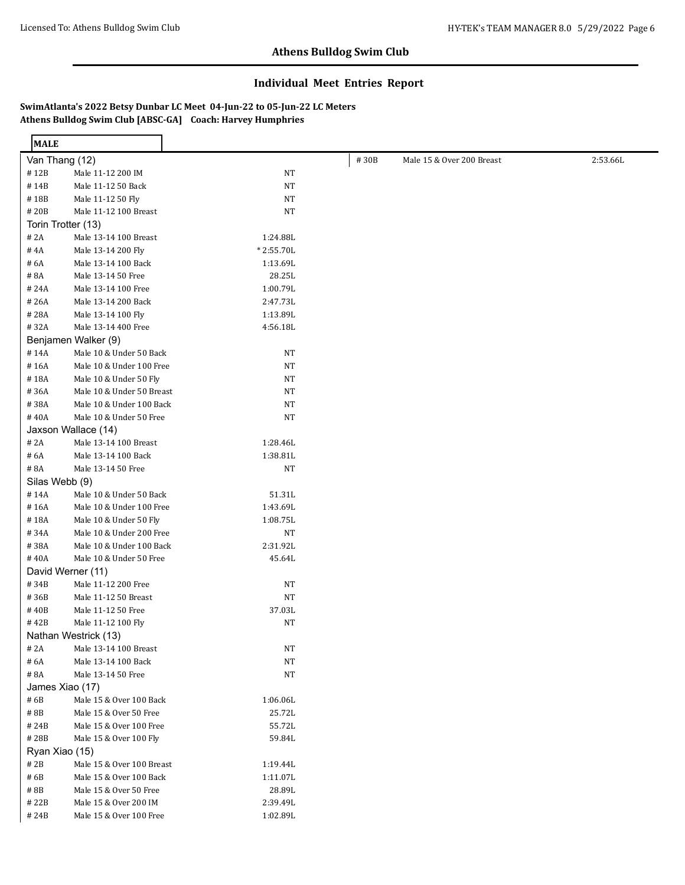### **Individual Meet Entries Report**

**SwimAtlanta's 2022 Betsy Dunbar LC Meet 04-Jun-22 to 05-Jun-22 LC Meters Athens Bulldog Swim Club [ABSC-GA] Coach: Harvey Humphries**

Ē.

| <b>MALE</b>        |                                              |                            |      |                           |          |
|--------------------|----------------------------------------------|----------------------------|------|---------------------------|----------|
| Van Thang (12)     |                                              |                            | #30B | Male 15 & Over 200 Breast | 2:53.66L |
| #12B               | Male 11-12 200 IM                            | <b>NT</b>                  |      |                           |          |
| #14B               | Male 11-12 50 Back                           | <b>NT</b>                  |      |                           |          |
| #18B               | Male 11-12 50 Fly                            | $_{\rm NT}$                |      |                           |          |
| #20B               | Male 11-12 100 Breast                        | $_{\rm NT}$                |      |                           |          |
| Torin Trotter (13) |                                              |                            |      |                           |          |
| # 2A               | Male 13-14 100 Breast                        | 1:24.88L                   |      |                           |          |
| #4A                | Male 13-14 200 Fly                           | $*2:55.70L$                |      |                           |          |
| # 6A               | Male 13-14 100 Back                          | 1:13.69L                   |      |                           |          |
| #8A                | Male 13-14 50 Free                           | 28.25L                     |      |                           |          |
| # 24A              | Male 13-14 100 Free                          | 1:00.79L                   |      |                           |          |
| #26A               | Male 13-14 200 Back                          | 2:47.73L                   |      |                           |          |
| #28A               | Male 13-14 100 Fly                           | 1:13.89L                   |      |                           |          |
| #32A               | Male 13-14 400 Free                          | 4:56.18L                   |      |                           |          |
|                    | Benjamen Walker (9)                          |                            |      |                           |          |
| #14A               | Male 10 & Under 50 Back                      | NT                         |      |                           |          |
| #16A               | Male 10 & Under 100 Free                     | <b>NT</b>                  |      |                           |          |
| #18A               | Male 10 & Under 50 Fly                       | NT                         |      |                           |          |
| #36A               | Male 10 & Under 50 Breast                    | <b>NT</b>                  |      |                           |          |
| #38A               | Male 10 & Under 100 Back                     | <b>NT</b>                  |      |                           |          |
| #40A               | Male 10 & Under 50 Free                      | <b>NT</b>                  |      |                           |          |
|                    | Jaxson Wallace (14)                          |                            |      |                           |          |
| # 2A               | Male 13-14 100 Breast                        | 1:28.46L                   |      |                           |          |
| # 6A               | Male 13-14 100 Back                          | 1:38.81L                   |      |                           |          |
| #8A                | Male 13-14 50 Free                           | NT                         |      |                           |          |
| Silas Webb (9)     |                                              |                            |      |                           |          |
| #14A               | Male 10 & Under 50 Back                      | 51.31L                     |      |                           |          |
| #16A               | Male 10 & Under 100 Free                     | 1:43.69L                   |      |                           |          |
| #18A               | Male 10 & Under 50 Fly                       | 1:08.75L                   |      |                           |          |
| #34A               | Male 10 & Under 200 Free                     | NT                         |      |                           |          |
| #38A               | Male 10 & Under 100 Back                     | 2:31.92L                   |      |                           |          |
| #40A               | Male 10 & Under 50 Free                      | 45.64L                     |      |                           |          |
|                    | David Werner (11)                            |                            |      |                           |          |
| #34B               | Male 11-12 200 Free                          | NT                         |      |                           |          |
| #36B               | Male 11-12 50 Breast                         | <b>NT</b>                  |      |                           |          |
| #40B               | Male 11-12 50 Free                           | 37.03L                     |      |                           |          |
| #42B               | Male 11-12 100 Fly                           | NT                         |      |                           |          |
|                    | Nathan Westrick (13)                         |                            |      |                           |          |
| # 2A               | Male 13-14 100 Breast<br>Male 13-14 100 Back | NT                         |      |                           |          |
| # 6A<br>#8A        | Male 13-14 50 Free                           | $_{\rm NT}$<br>$_{\rm NT}$ |      |                           |          |
| James Xiao (17)    |                                              |                            |      |                           |          |
| #6B                | Male 15 & Over 100 Back                      | 1:06.06L                   |      |                           |          |
| #8B                | Male 15 & Over 50 Free                       | 25.72L                     |      |                           |          |
| #24B               | Male 15 & Over 100 Free                      | 55.72L                     |      |                           |          |
| #28B               | Male 15 & Over 100 Fly                       | 59.84L                     |      |                           |          |
| Ryan Xiao (15)     |                                              |                            |      |                           |          |
| # 2B               | Male 15 & Over 100 Breast                    | 1:19.44L                   |      |                           |          |
| # 6B               | Male 15 & Over 100 Back                      | 1:11.07L                   |      |                           |          |
| #8B                | Male 15 & Over 50 Free                       | 28.89L                     |      |                           |          |
| #22B               | Male 15 & Over 200 IM                        | 2:39.49L                   |      |                           |          |
| #24B               | Male 15 & Over 100 Free                      | 1:02.89L                   |      |                           |          |
|                    |                                              |                            |      |                           |          |